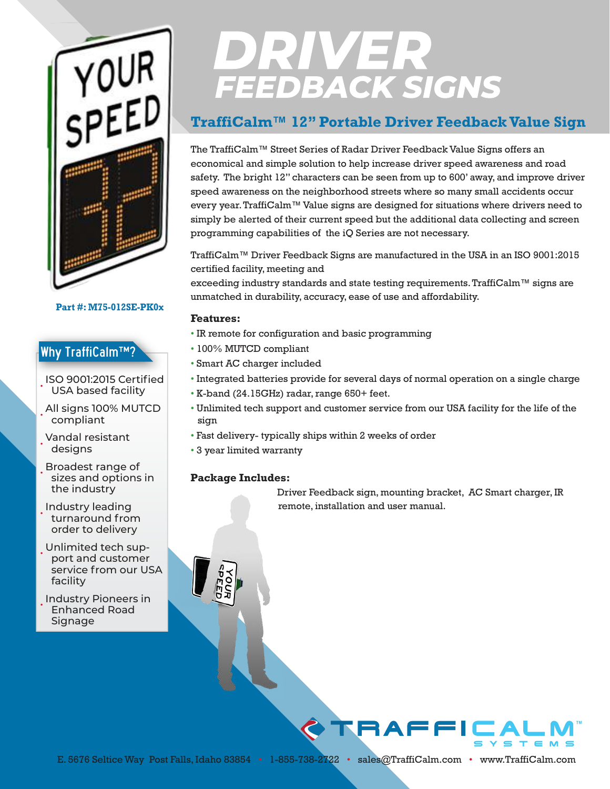

**Part #: M75-012SE-PK0x**

### Why TraffiCalm™?

• ISO 9001:2015 Certified USA based facility

• All signs 100% MUTCD compliant

• Vandal resistant designs

• Broadest range of sizes and options in the industry

• Industry leading turnaround from order to delivery

• Unlimited tech support and customer service from our USA facility

• Industry Pioneers in Enhanced Road **Signage** 

# **DRIVER**<br>FEEDBACK SIGNS

## **TraffiCalm™ 12" Portable Driver Feedback Value Sign**

The TraffiCalm™ Street Series of Radar Driver Feedback Value Signs offers an economical and simple solution to help increase driver speed awareness and road safety. The bright 12" characters can be seen from up to 600' away, and improve driver speed awareness on the neighborhood streets where so many small accidents occur every year. TraffiCalm™ Value signs are designed for situations where drivers need to simply be alerted of their current speed but the additional data collecting and screen programming capabilities of the iQ Series are not necessary.

TraffiCalm™ Driver Feedback Signs are manufactured in the USA in an ISO 9001:2015 certified facility, meeting and

exceeding industry standards and state testing requirements. TraffiCalm™ signs are unmatched in durability, accuracy, ease of use and affordability.

#### **Features:**

- IR remote for configuration and basic programming
- 100% MUTCD compliant
- Smart AC charger included
- Integrated batteries provide for several days of normal operation on a single charge
- K-band (24.15GHz) radar, range 650+ feet.
- Unlimited tech support and customer service from our USA facility for the life of the sign
- Fast delivery- typically ships within 2 weeks of order
- 3 year limited warranty

#### **Package Includes:**

Driver Feedback sign, mounting bracket, AC Smart charger, IR remote, installation and user manual.